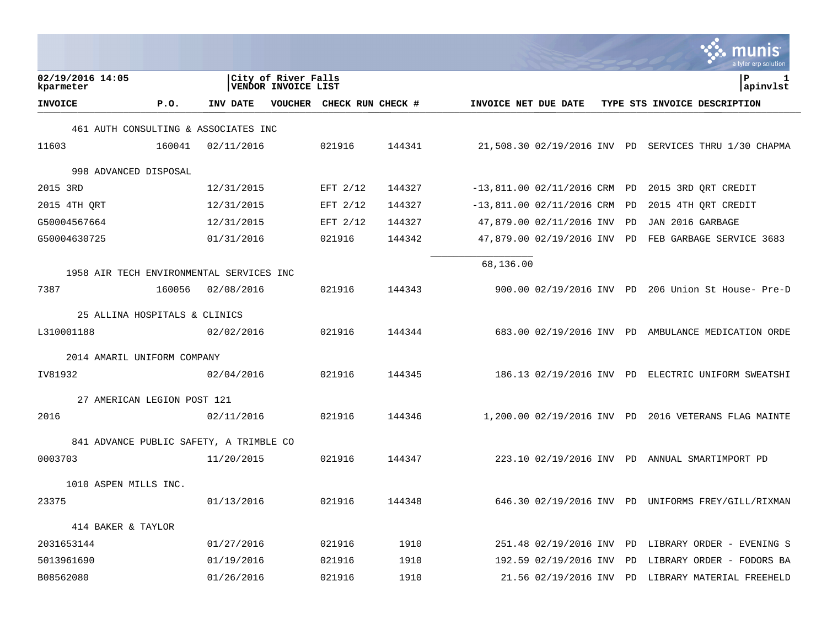|                               |                                            |                   |        |                                |    | a tyler erp solution                                  |
|-------------------------------|--------------------------------------------|-------------------|--------|--------------------------------|----|-------------------------------------------------------|
| 02/19/2016 14:05<br>kparmeter | City of River Falls<br>VENDOR INVOICE LIST |                   |        |                                |    | l P<br>ı<br>apinvlst                                  |
| <b>INVOICE</b>                | P.0.<br>INV DATE<br>VOUCHER                | CHECK RUN CHECK # |        | INVOICE NET DUE DATE           |    | TYPE STS INVOICE DESCRIPTION                          |
|                               | 461 AUTH CONSULTING & ASSOCIATES INC       |                   |        |                                |    |                                                       |
| 11603                         | 160041<br>02/11/2016                       | 021916            | 144341 |                                |    | 21,508.30 02/19/2016 INV PD SERVICES THRU 1/30 CHAPMA |
| 998 ADVANCED DISPOSAL         |                                            |                   |        |                                |    |                                                       |
| 2015 3RD                      | 12/31/2015                                 | EFT 2/12          | 144327 | $-13,811.00 02/11/2016$ CRM PD |    | 2015 3RD ORT CREDIT                                   |
| 2015 4TH ORT                  | 12/31/2015                                 | EFT 2/12          | 144327 | $-13,811.00 02/11/2016$ CRM    | PD | 2015 4TH ORT CREDIT                                   |
| G50004567664                  | 12/31/2015                                 | EFT $2/12$        | 144327 | 47,879.00 02/11/2016 INV       | PD | JAN 2016 GARBAGE                                      |
| G50004630725                  | 01/31/2016                                 | 021916            | 144342 | 47,879.00 02/19/2016 INV       | PD | FEB GARBAGE SERVICE 3683                              |
|                               | 1958 AIR TECH ENVIRONMENTAL SERVICES INC   |                   |        | 68,136.00                      |    |                                                       |
| 7387                          | 160056<br>02/08/2016                       | 021916            | 144343 |                                |    | 900.00 02/19/2016 INV PD 206 Union St House- Pre-D    |
|                               |                                            |                   |        |                                |    |                                                       |
| 25 ALLINA HOSPITALS & CLINICS |                                            |                   |        |                                |    |                                                       |
| L310001188                    | 02/02/2016                                 | 021916            | 144344 |                                |    | 683.00 02/19/2016 INV PD AMBULANCE MEDICATION ORDE    |
| 2014 AMARIL UNIFORM COMPANY   |                                            |                   |        |                                |    |                                                       |
| IV81932                       | 02/04/2016                                 | 021916            | 144345 |                                |    | 186.13 02/19/2016 INV PD ELECTRIC UNIFORM SWEATSHI    |
| 27 AMERICAN LEGION POST 121   |                                            |                   |        |                                |    |                                                       |
| 2016                          | 02/11/2016                                 | 021916            | 144346 |                                |    | 1,200.00 02/19/2016 INV PD 2016 VETERANS FLAG MAINTE  |
|                               | 841 ADVANCE PUBLIC SAFETY, A TRIMBLE CO    |                   |        |                                |    |                                                       |
| 0003703                       | 11/20/2015                                 | 021916            | 144347 |                                |    | 223.10 02/19/2016 INV PD ANNUAL SMARTIMPORT PD        |
| 1010 ASPEN MILLS INC.         |                                            |                   |        |                                |    |                                                       |
| 23375                         | 01/13/2016                                 | 021916            | 144348 |                                |    | 646.30 02/19/2016 INV PD UNIFORMS FREY/GILL/RIXMAN    |
| 414 BAKER & TAYLOR            |                                            |                   |        |                                |    |                                                       |
| 2031653144                    | 01/27/2016                                 | 021916            | 1910   |                                |    | 251.48 02/19/2016 INV PD LIBRARY ORDER - EVENING S    |
| 5013961690                    | 01/19/2016                                 | 021916            | 1910   | 192.59 02/19/2016 INV          | PD | LIBRARY ORDER - FODORS BA                             |
| B08562080                     | 01/26/2016                                 | 021916            | 1910   |                                |    | 21.56 02/19/2016 INV PD LIBRARY MATERIAL FREEHELD     |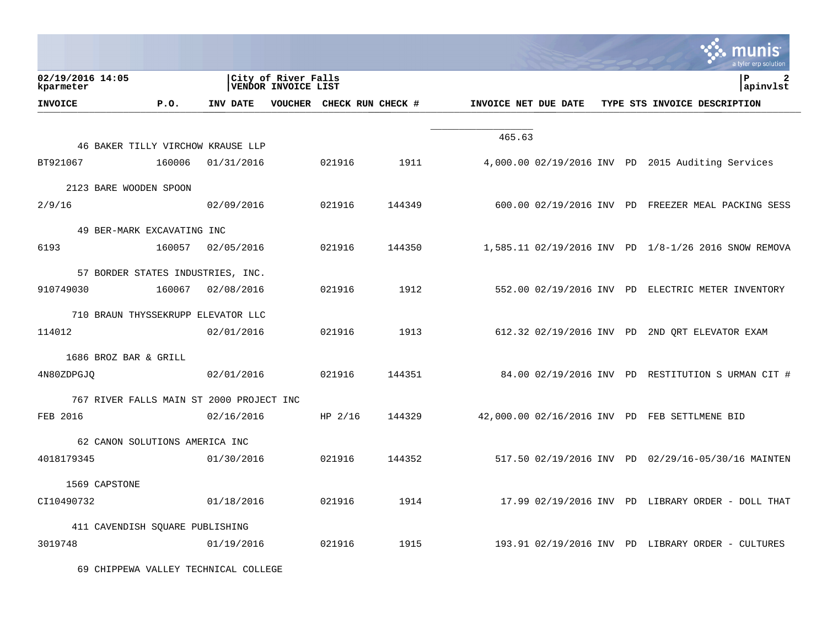|                               |                                          |                 |                                                   |           |                           |                      |  | a tyler erp solution                                 |
|-------------------------------|------------------------------------------|-----------------|---------------------------------------------------|-----------|---------------------------|----------------------|--|------------------------------------------------------|
| 02/19/2016 14:05<br>kparmeter |                                          |                 | City of River Falls<br><b>VENDOR INVOICE LIST</b> |           |                           |                      |  | lР<br>$\mathbf{2}$<br>apinvlst                       |
| <b>INVOICE</b>                | P.O.                                     | <b>INV DATE</b> |                                                   |           | VOUCHER CHECK RUN CHECK # | INVOICE NET DUE DATE |  | TYPE STS INVOICE DESCRIPTION                         |
|                               |                                          |                 |                                                   |           |                           |                      |  |                                                      |
|                               | 46 BAKER TILLY VIRCHOW KRAUSE LLP        |                 |                                                   |           |                           | 465.63               |  |                                                      |
| BT921067                      | 160006                                   | 01/31/2016      |                                                   | 021916    | 1911                      |                      |  | 4,000.00 02/19/2016 INV PD 2015 Auditing Services    |
| 2123 BARE WOODEN SPOON        |                                          |                 |                                                   |           |                           |                      |  |                                                      |
| 2/9/16                        |                                          | 02/09/2016      |                                                   | 021916    | 144349                    |                      |  | 600.00 02/19/2016 INV PD FREEZER MEAL PACKING SESS   |
|                               | 49 BER-MARK EXCAVATING INC               |                 |                                                   |           |                           |                      |  |                                                      |
| 6193                          | 160057                                   | 02/05/2016      |                                                   | 021916    | 144350                    |                      |  | 1,585.11 02/19/2016 INV PD 1/8-1/26 2016 SNOW REMOVA |
|                               | 57 BORDER STATES INDUSTRIES, INC.        |                 |                                                   |           |                           |                      |  |                                                      |
| 910749030                     | 160067                                   | 02/08/2016      |                                                   | 021916    | 1912                      |                      |  | 552.00 02/19/2016 INV PD ELECTRIC METER INVENTORY    |
|                               |                                          |                 |                                                   |           |                           |                      |  |                                                      |
| 114012                        | 710 BRAUN THYSSEKRUPP ELEVATOR LLC       | 02/01/2016      |                                                   | 021916    | 1913                      |                      |  | 612.32 02/19/2016 INV PD 2ND ORT ELEVATOR EXAM       |
|                               |                                          |                 |                                                   |           |                           |                      |  |                                                      |
| 1686 BROZ BAR & GRILL         |                                          |                 |                                                   | 021916    | 144351                    |                      |  | 84.00 02/19/2016 INV PD RESTITUTION S URMAN CIT #    |
| 4N80ZDPGJO                    |                                          | 02/01/2016      |                                                   |           |                           |                      |  |                                                      |
|                               | 767 RIVER FALLS MAIN ST 2000 PROJECT INC |                 |                                                   |           |                           |                      |  |                                                      |
| FEB 2016                      |                                          | 02/16/2016      |                                                   | HP $2/16$ | 144329                    |                      |  | 42,000.00 02/16/2016 INV PD FEB SETTLMENE BID        |
|                               | 62 CANON SOLUTIONS AMERICA INC           |                 |                                                   |           |                           |                      |  |                                                      |
| 4018179345                    |                                          | 01/30/2016      |                                                   | 021916    | 144352                    |                      |  | 517.50 02/19/2016 INV PD 02/29/16-05/30/16 MAINTEN   |
| 1569 CAPSTONE                 |                                          |                 |                                                   |           |                           |                      |  |                                                      |
| CI10490732                    |                                          | 01/18/2016      |                                                   | 021916    | 1914                      |                      |  | $17.99$ 02/19/2016 INV PD LIBRARY ORDER - DOLL THAT  |
|                               | 411 CAVENDISH SQUARE PUBLISHING          |                 |                                                   |           |                           |                      |  |                                                      |
| 3019748                       |                                          | 01/19/2016      |                                                   | 021916    | 1915                      |                      |  | 193.91 02/19/2016 INV PD LIBRARY ORDER - CULTURES    |
|                               |                                          |                 |                                                   |           |                           |                      |  |                                                      |

69 CHIPPEWA VALLEY TECHNICAL COLLEGE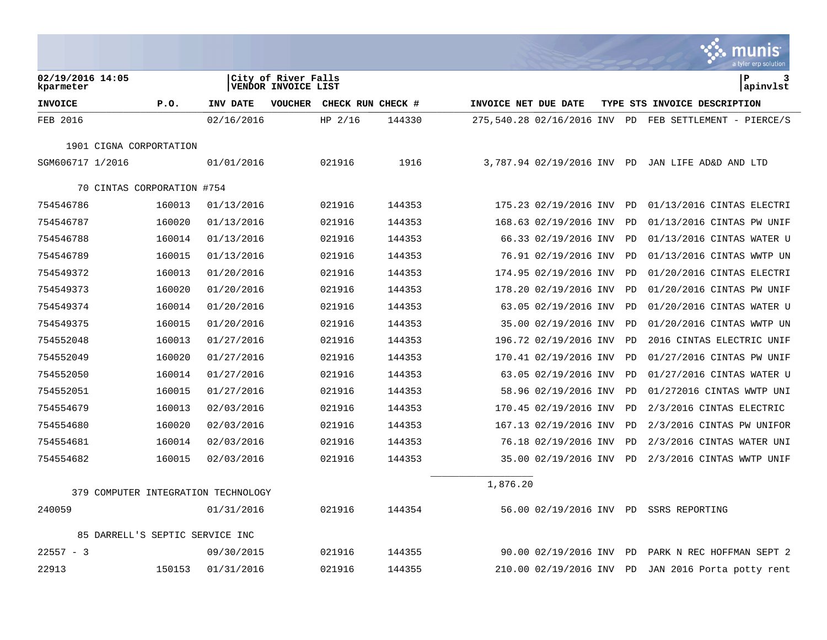|                                     |        |            |                                                   |                   |        |                      |                              |    | $\ddot{\phantom{a}}$ . munis<br>a tyler erp solution |
|-------------------------------------|--------|------------|---------------------------------------------------|-------------------|--------|----------------------|------------------------------|----|------------------------------------------------------|
| 02/19/2016 14:05<br>kparmeter       |        |            | City of River Falls<br><b>VENDOR INVOICE LIST</b> |                   |        |                      |                              |    | lР<br>3<br>apinvlst                                  |
| <b>INVOICE</b>                      | P.0.   | INV DATE   | <b>VOUCHER</b>                                    | CHECK RUN CHECK # |        | INVOICE NET DUE DATE |                              |    | TYPE STS INVOICE DESCRIPTION                         |
| FEB 2016                            |        | 02/16/2016 |                                                   | HP $2/16$         | 144330 |                      | 275,540.28 02/16/2016 INV PD |    | FEB SETTLEMENT - PIERCE/S                            |
| 1901 CIGNA CORPORTATION             |        |            |                                                   |                   |        |                      |                              |    |                                                      |
| SGM606717 1/2016                    |        | 01/01/2016 |                                                   | 021916            | 1916   |                      | 3,787.94 02/19/2016 INV PD   |    | JAN LIFE AD&D AND LTD                                |
| 70 CINTAS CORPORATION #754          |        |            |                                                   |                   |        |                      |                              |    |                                                      |
| 754546786                           | 160013 | 01/13/2016 |                                                   | 021916            | 144353 |                      | 175.23 02/19/2016 INV        | PD | 01/13/2016 CINTAS ELECTRI                            |
| 754546787                           | 160020 | 01/13/2016 |                                                   | 021916            | 144353 |                      | 168.63 02/19/2016 INV        | PD | 01/13/2016 CINTAS PW UNIF                            |
| 754546788                           | 160014 | 01/13/2016 |                                                   | 021916            | 144353 |                      | 66.33 02/19/2016 INV         | PD | 01/13/2016 CINTAS WATER U                            |
| 754546789                           | 160015 | 01/13/2016 |                                                   | 021916            | 144353 |                      | 76.91 02/19/2016 INV         | PD | 01/13/2016 CINTAS WWTP UN                            |
| 754549372                           | 160013 | 01/20/2016 |                                                   | 021916            | 144353 |                      | 174.95 02/19/2016 INV        | PD | 01/20/2016 CINTAS ELECTRI                            |
| 754549373                           | 160020 | 01/20/2016 |                                                   | 021916            | 144353 |                      | 178.20 02/19/2016 INV        | PD | 01/20/2016 CINTAS PW UNIF                            |
| 754549374                           | 160014 | 01/20/2016 |                                                   | 021916            | 144353 |                      | 63.05 02/19/2016 INV         | PD | 01/20/2016 CINTAS WATER U                            |
| 754549375                           | 160015 | 01/20/2016 |                                                   | 021916            | 144353 |                      | 35.00 02/19/2016 INV         | PD | 01/20/2016 CINTAS WWTP UN                            |
| 754552048                           | 160013 | 01/27/2016 |                                                   | 021916            | 144353 |                      | 196.72 02/19/2016 INV        | PD | 2016 CINTAS ELECTRIC UNIF                            |
| 754552049                           | 160020 | 01/27/2016 |                                                   | 021916            | 144353 |                      | 170.41 02/19/2016 INV        | PD | 01/27/2016 CINTAS PW UNIF                            |
| 754552050                           | 160014 | 01/27/2016 |                                                   | 021916            | 144353 |                      | 63.05 02/19/2016 INV         | PD | 01/27/2016 CINTAS WATER U                            |
| 754552051                           | 160015 | 01/27/2016 |                                                   | 021916            | 144353 |                      | 58.96 02/19/2016 INV         | PD | 01/272016 CINTAS WWTP UNI                            |
| 754554679                           | 160013 | 02/03/2016 |                                                   | 021916            | 144353 |                      | 170.45 02/19/2016 INV        | PD | 2/3/2016 CINTAS ELECTRIC                             |
| 754554680                           | 160020 | 02/03/2016 |                                                   | 021916            | 144353 |                      | 167.13 02/19/2016 INV        | PD | $2/3/2016$ CINTAS PW UNIFOR                          |
| 754554681                           | 160014 | 02/03/2016 |                                                   | 021916            | 144353 |                      | 76.18 02/19/2016 INV         | PD | $2/3/2016$ CINTAS WATER UNI                          |
| 754554682                           | 160015 | 02/03/2016 |                                                   | 021916            | 144353 |                      | 35.00 02/19/2016 INV         | PD | $2/3/2016$ CINTAS WWTP UNIF                          |
| 379 COMPUTER INTEGRATION TECHNOLOGY |        |            |                                                   |                   |        | 1,876.20             |                              |    |                                                      |
| 240059                              |        | 01/31/2016 |                                                   | 021916            | 144354 |                      | 56.00 02/19/2016 INV PD      |    | SSRS REPORTING                                       |
|                                     |        |            |                                                   |                   |        |                      |                              |    |                                                      |
| 85 DARRELL'S SEPTIC SERVICE INC     |        |            |                                                   |                   |        |                      |                              |    |                                                      |
| $22557 - 3$                         |        | 09/30/2015 |                                                   | 021916            | 144355 |                      | 90.00 02/19/2016 INV         | PD | PARK N REC HOFFMAN SEPT 2                            |
| 22913                               | 150153 | 01/31/2016 |                                                   | 021916            | 144355 |                      | 210.00 02/19/2016 INV        | PD | JAN 2016 Porta potty rent                            |

 $\mathcal{L}$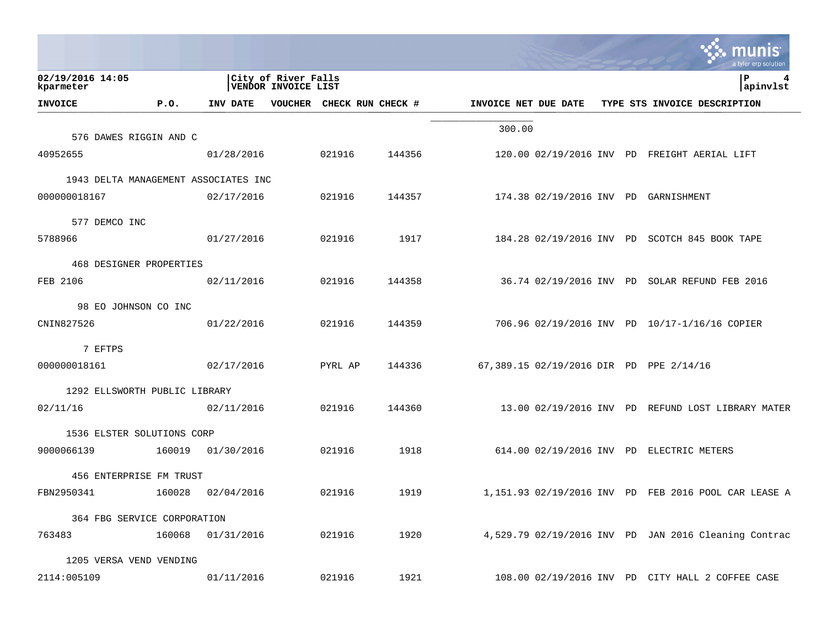|                                      |        |                   |                                                   |                   |        |                      |                         |  | a tyler erp solutior                                 |
|--------------------------------------|--------|-------------------|---------------------------------------------------|-------------------|--------|----------------------|-------------------------|--|------------------------------------------------------|
| 02/19/2016 14:05<br>kparmeter        |        |                   | City of River Falls<br><b>VENDOR INVOICE LIST</b> |                   |        |                      |                         |  | P<br>4<br>apinvlst                                   |
| <b>INVOICE</b>                       | P.0.   | INV DATE          | VOUCHER                                           | CHECK RUN CHECK # |        | INVOICE NET DUE DATE |                         |  | TYPE STS INVOICE DESCRIPTION                         |
| 576 DAWES RIGGIN AND C               |        |                   |                                                   |                   |        | 300.00               |                         |  |                                                      |
| 40952655                             |        | 01/28/2016        |                                                   | 021916            | 144356 |                      |                         |  | 120.00 02/19/2016 INV PD FREIGHT AERIAL LIFT         |
| 1943 DELTA MANAGEMENT ASSOCIATES INC |        |                   |                                                   |                   |        |                      |                         |  |                                                      |
| 000000018167                         |        | 02/17/2016        |                                                   | 021916            | 144357 |                      |                         |  | 174.38 02/19/2016 INV PD GARNISHMENT                 |
| 577 DEMCO INC                        |        |                   |                                                   |                   |        |                      |                         |  |                                                      |
| 5788966                              |        | 01/27/2016        |                                                   | 021916            | 1917   |                      |                         |  | 184.28 02/19/2016 INV PD SCOTCH 845 BOOK TAPE        |
| 468 DESIGNER PROPERTIES              |        |                   |                                                   |                   |        |                      |                         |  |                                                      |
| FEB 2106                             |        | 02/11/2016        |                                                   | 021916            | 144358 |                      | 36.74 02/19/2016 INV PD |  | SOLAR REFUND FEB 2016                                |
| 98 EO JOHNSON CO INC                 |        |                   |                                                   |                   |        |                      |                         |  |                                                      |
| CNIN827526                           |        | 01/22/2016        |                                                   | 021916            | 144359 |                      |                         |  | 706.96 02/19/2016 INV PD 10/17-1/16/16 COPIER        |
| 7 EFTPS                              |        |                   |                                                   |                   |        |                      |                         |  |                                                      |
| 000000018161                         |        | 02/17/2016        |                                                   | PYRL AP           | 144336 |                      |                         |  | 67,389.15 02/19/2016 DIR PD PPE 2/14/16              |
| 1292 ELLSWORTH PUBLIC LIBRARY        |        |                   |                                                   |                   |        |                      |                         |  |                                                      |
| 02/11/16                             |        | 02/11/2016        |                                                   | 021916            | 144360 |                      |                         |  | 13.00 02/19/2016 INV PD REFUND LOST LIBRARY MATER    |
| 1536 ELSTER SOLUTIONS CORP           |        |                   |                                                   |                   |        |                      |                         |  |                                                      |
| 9000066139                           | 160019 | 01/30/2016        |                                                   | 021916            | 1918   |                      |                         |  | 614.00 02/19/2016 INV PD ELECTRIC METERS             |
| 456 ENTERPRISE FM TRUST              |        |                   |                                                   |                   |        |                      |                         |  |                                                      |
| FBN2950341                           | 160028 | 02/04/2016        |                                                   | 021916            | 1919   |                      |                         |  | 1,151.93 02/19/2016 INV PD FEB 2016 POOL CAR LEASE A |
| 364 FBG SERVICE CORPORATION          |        |                   |                                                   |                   |        |                      |                         |  |                                                      |
| 763483                               |        | 160068 01/31/2016 |                                                   | 021916            | 1920   |                      |                         |  | 4,529.79 02/19/2016 INV PD JAN 2016 Cleaning Contrac |
| 1205 VERSA VEND VENDING              |        |                   |                                                   |                   |        |                      |                         |  |                                                      |
| 2114:005109                          |        | 01/11/2016        |                                                   | 021916            | 1921   |                      |                         |  | 108.00 02/19/2016 INV PD CITY HALL 2 COFFEE CASE     |

**Contract Contract Contract**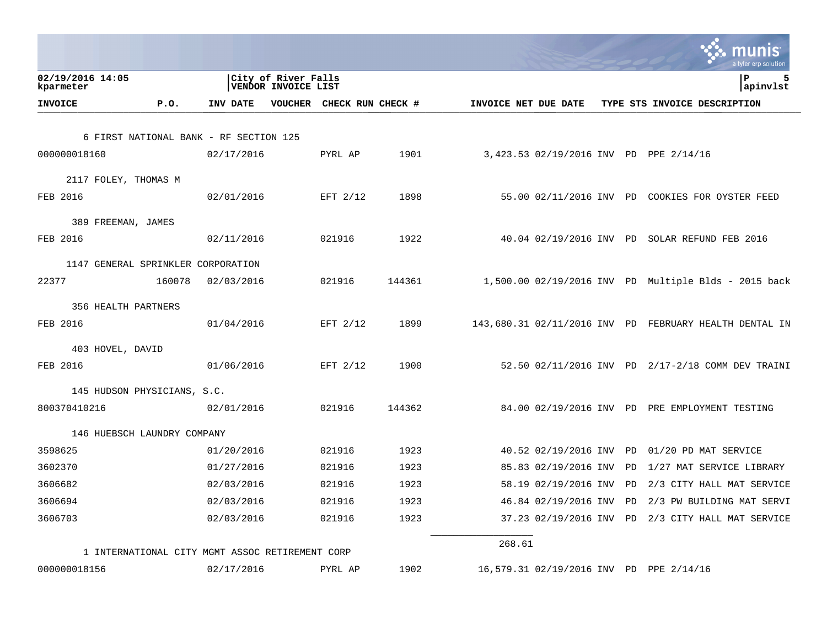|                                                 |                                                   |                           |        |                      |                         | a tyler erp solution                                   |
|-------------------------------------------------|---------------------------------------------------|---------------------------|--------|----------------------|-------------------------|--------------------------------------------------------|
| 02/19/2016 14:05<br>kparmeter                   | City of River Falls<br><b>VENDOR INVOICE LIST</b> |                           |        |                      |                         | 5<br>ΙP<br> apinvlst                                   |
| P.0.<br><b>INVOICE</b>                          | INV DATE                                          | VOUCHER CHECK RUN CHECK # |        | INVOICE NET DUE DATE |                         | TYPE STS INVOICE DESCRIPTION                           |
|                                                 |                                                   |                           |        |                      |                         |                                                        |
| 6 FIRST NATIONAL BANK - RF SECTION 125          |                                                   |                           |        |                      |                         |                                                        |
| 000000018160                                    | 02/17/2016                                        | PYRL AP                   | 1901   |                      |                         | 3,423.53 02/19/2016 INV PD PPE 2/14/16                 |
| 2117 FOLEY, THOMAS M                            |                                                   |                           |        |                      |                         |                                                        |
| FEB 2016                                        | 02/01/2016                                        | EFT 2/12                  | 1898   |                      |                         | 55.00 02/11/2016 INV PD COOKIES FOR OYSTER FEED        |
|                                                 |                                                   |                           |        |                      |                         |                                                        |
| 389 FREEMAN, JAMES                              |                                                   |                           |        |                      |                         |                                                        |
| FEB 2016                                        | 02/11/2016                                        | 021916                    | 1922   |                      |                         | 40.04 02/19/2016 INV PD SOLAR REFUND FEB 2016          |
| 1147 GENERAL SPRINKLER CORPORATION              |                                                   |                           |        |                      |                         |                                                        |
| 22377<br>160078                                 | 02/03/2016                                        | 021916                    | 144361 |                      |                         | 1,500.00 02/19/2016 INV PD Multiple Blds - 2015 back   |
|                                                 |                                                   |                           |        |                      |                         |                                                        |
| 356 HEALTH PARTNERS                             |                                                   |                           |        |                      |                         |                                                        |
| FEB 2016                                        | 01/04/2016                                        | EFT 2/12                  | 1899   |                      |                         | 143,680.31 02/11/2016 INV PD FEBRUARY HEALTH DENTAL IN |
| 403 HOVEL, DAVID                                |                                                   |                           |        |                      |                         |                                                        |
| FEB 2016                                        | 01/06/2016                                        | EFT 2/12                  | 1900   |                      |                         | 52.50 02/11/2016 INV PD 2/17-2/18 COMM DEV TRAINI      |
|                                                 |                                                   |                           |        |                      |                         |                                                        |
| 145 HUDSON PHYSICIANS, S.C.                     |                                                   | 021916                    | 144362 |                      |                         |                                                        |
| 800370410216                                    | 02/01/2016                                        |                           |        |                      |                         | 84.00 02/19/2016 INV PD PRE EMPLOYMENT TESTING         |
| 146 HUEBSCH LAUNDRY COMPANY                     |                                                   |                           |        |                      |                         |                                                        |
| 3598625                                         | 01/20/2016                                        | 021916                    | 1923   |                      | 40.52 02/19/2016 INV PD | 01/20 PD MAT SERVICE                                   |
| 3602370                                         | 01/27/2016                                        | 021916                    | 1923   |                      |                         | 85.83 02/19/2016 INV PD 1/27 MAT SERVICE LIBRARY       |
| 3606682                                         | 02/03/2016                                        | 021916                    | 1923   |                      |                         | 58.19 02/19/2016 INV PD 2/3 CITY HALL MAT SERVICE      |
| 3606694                                         | 02/03/2016                                        | 021916                    | 1923   |                      | 46.84 02/19/2016 INV PD | 2/3 PW BUILDING MAT SERVI                              |
| 3606703                                         | 02/03/2016                                        | 021916                    | 1923   |                      |                         | 37.23 02/19/2016 INV PD 2/3 CITY HALL MAT SERVICE      |
|                                                 |                                                   |                           |        | 268.61               |                         |                                                        |
| 1 INTERNATIONAL CITY MGMT ASSOC RETIREMENT CORP |                                                   |                           |        |                      |                         |                                                        |
| 000000018156                                    | 02/17/2016                                        | PYRL AP                   | 1902   |                      |                         | 16,579.31 02/19/2016 INV PD PPE 2/14/16                |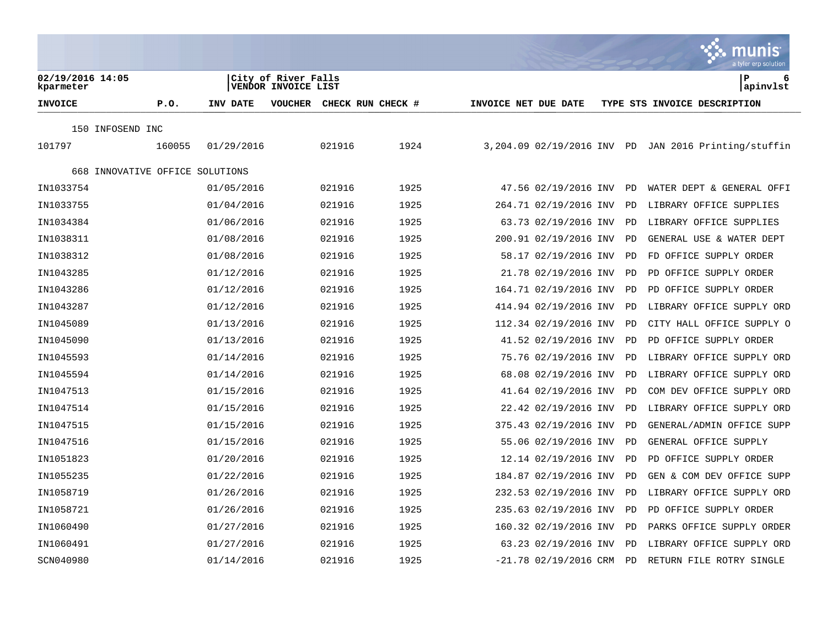|                                 |        |            |                                            |        |                   |                      |                         |    | <b>Communist</b><br>a tyler erp solution             |
|---------------------------------|--------|------------|--------------------------------------------|--------|-------------------|----------------------|-------------------------|----|------------------------------------------------------|
| 02/19/2016 14:05<br>kparmeter   |        |            | City of River Falls<br>VENDOR INVOICE LIST |        |                   |                      |                         |    | P<br>6<br>apinvlst                                   |
| <b>INVOICE</b>                  | P.0.   | INV DATE   | <b>VOUCHER</b>                             |        | CHECK RUN CHECK # | INVOICE NET DUE DATE |                         |    | TYPE STS INVOICE DESCRIPTION                         |
| 150 INFOSEND INC                |        |            |                                            |        |                   |                      |                         |    |                                                      |
| 101797                          | 160055 | 01/29/2016 |                                            | 021916 | 1924              |                      |                         |    | 3,204.09 02/19/2016 INV PD JAN 2016 Printing/stuffin |
| 668 INNOVATIVE OFFICE SOLUTIONS |        |            |                                            |        |                   |                      |                         |    |                                                      |
| IN1033754                       |        | 01/05/2016 |                                            | 021916 | 1925              |                      | 47.56 02/19/2016 INV    | PD | WATER DEPT & GENERAL OFFI                            |
| IN1033755                       |        | 01/04/2016 |                                            | 021916 | 1925              |                      | 264.71 02/19/2016 INV   | PD | LIBRARY OFFICE SUPPLIES                              |
| IN1034384                       |        | 01/06/2016 |                                            | 021916 | 1925              |                      | 63.73 02/19/2016 INV    | PD | LIBRARY OFFICE SUPPLIES                              |
| IN1038311                       |        | 01/08/2016 |                                            | 021916 | 1925              |                      | 200.91 02/19/2016 INV   | PD | GENERAL USE & WATER DEPT                             |
| IN1038312                       |        | 01/08/2016 |                                            | 021916 | 1925              |                      | 58.17 02/19/2016 INV    | PD | FD OFFICE SUPPLY ORDER                               |
| IN1043285                       |        | 01/12/2016 |                                            | 021916 | 1925              |                      | 21.78 02/19/2016 INV    | PD | PD OFFICE SUPPLY ORDER                               |
| IN1043286                       |        | 01/12/2016 |                                            | 021916 | 1925              |                      | 164.71 02/19/2016 INV   | PD | PD OFFICE SUPPLY ORDER                               |
| IN1043287                       |        | 01/12/2016 |                                            | 021916 | 1925              |                      | 414.94 02/19/2016 INV   | PD | LIBRARY OFFICE SUPPLY ORD                            |
| IN1045089                       |        | 01/13/2016 |                                            | 021916 | 1925              |                      | 112.34 02/19/2016 INV   | PD | CITY HALL OFFICE SUPPLY O                            |
| IN1045090                       |        | 01/13/2016 |                                            | 021916 | 1925              |                      | 41.52 02/19/2016 INV    | PD | PD OFFICE SUPPLY ORDER                               |
| IN1045593                       |        | 01/14/2016 |                                            | 021916 | 1925              |                      | 75.76 02/19/2016 INV    | PD | LIBRARY OFFICE SUPPLY ORD                            |
| IN1045594                       |        | 01/14/2016 |                                            | 021916 | 1925              |                      | 68.08 02/19/2016 INV    | PD | LIBRARY OFFICE SUPPLY ORD                            |
| IN1047513                       |        | 01/15/2016 |                                            | 021916 | 1925              |                      | 41.64 02/19/2016 INV    | PD | COM DEV OFFICE SUPPLY ORD                            |
| IN1047514                       |        | 01/15/2016 |                                            | 021916 | 1925              |                      | 22.42 02/19/2016 INV    | PD | LIBRARY OFFICE SUPPLY ORD                            |
| IN1047515                       |        | 01/15/2016 |                                            | 021916 | 1925              |                      | 375.43 02/19/2016 INV   | PD | GENERAL/ADMIN OFFICE SUPP                            |
| IN1047516                       |        | 01/15/2016 |                                            | 021916 | 1925              |                      | 55.06 02/19/2016 INV    | PD | GENERAL OFFICE SUPPLY                                |
| IN1051823                       |        | 01/20/2016 |                                            | 021916 | 1925              |                      | 12.14 02/19/2016 INV    | PD | PD OFFICE SUPPLY ORDER                               |
| IN1055235                       |        | 01/22/2016 |                                            | 021916 | 1925              |                      | 184.87 02/19/2016 INV   | PD | GEN & COM DEV OFFICE SUPP                            |
| IN1058719                       |        | 01/26/2016 |                                            | 021916 | 1925              |                      | 232.53 02/19/2016 INV   | PD | LIBRARY OFFICE SUPPLY ORD                            |
| IN1058721                       |        | 01/26/2016 |                                            | 021916 | 1925              |                      | 235.63 02/19/2016 INV   | PD | PD OFFICE SUPPLY ORDER                               |
| IN1060490                       |        | 01/27/2016 |                                            | 021916 | 1925              |                      | 160.32 02/19/2016 INV   | PD | PARKS OFFICE SUPPLY ORDER                            |
| IN1060491                       |        | 01/27/2016 |                                            | 021916 | 1925              |                      | 63.23 02/19/2016 INV    | PD | LIBRARY OFFICE SUPPLY ORD                            |
| SCN040980                       |        | 01/14/2016 |                                            | 021916 | 1925              |                      | $-21.78$ 02/19/2016 CRM | PD | RETURN FILE ROTRY SINGLE                             |

**Contract** 

 $\mathcal{L}$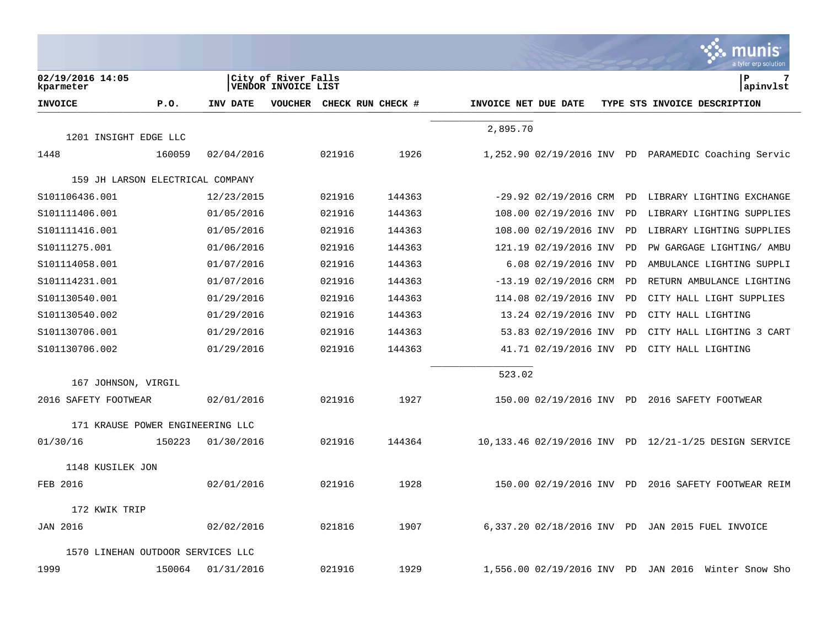|                                   |        |            |                                            |        |                   |                      |                            |    | munis<br>a tyler erp solution                         |
|-----------------------------------|--------|------------|--------------------------------------------|--------|-------------------|----------------------|----------------------------|----|-------------------------------------------------------|
| 02/19/2016 14:05<br>kparmeter     |        |            | City of River Falls<br>VENDOR INVOICE LIST |        |                   |                      |                            |    | lР<br>7<br>apinvlst                                   |
| <b>INVOICE</b>                    | P.0.   | INV DATE   | <b>VOUCHER</b>                             |        | CHECK RUN CHECK # | INVOICE NET DUE DATE |                            |    | TYPE STS INVOICE DESCRIPTION                          |
|                                   |        |            |                                            |        |                   | 2,895.70             |                            |    |                                                       |
| 1201 INSIGHT EDGE LLC<br>1448     | 160059 | 02/04/2016 |                                            | 021916 | 1926              |                      |                            |    | 1,252.90 02/19/2016 INV PD PARAMEDIC Coaching Servic  |
|                                   |        |            |                                            |        |                   |                      |                            |    |                                                       |
| 159 JH LARSON ELECTRICAL COMPANY  |        |            |                                            |        |                   |                      |                            |    |                                                       |
| S101106436.001                    |        | 12/23/2015 |                                            | 021916 | 144363            |                      | $-29.92$ 02/19/2016 CRM    | PD | LIBRARY LIGHTING EXCHANGE                             |
| S101111406.001                    |        | 01/05/2016 |                                            | 021916 | 144363            |                      | 108.00 02/19/2016 INV      | PD | LIBRARY LIGHTING SUPPLIES                             |
| S101111416.001                    |        | 01/05/2016 |                                            | 021916 | 144363            |                      | 108.00 02/19/2016 INV      | PD | LIBRARY LIGHTING SUPPLIES                             |
| S10111275.001                     |        | 01/06/2016 |                                            | 021916 | 144363            |                      | 121.19 02/19/2016 INV      | PD | PW GARGAGE LIGHTING/ AMBU                             |
| S101114058.001                    |        | 01/07/2016 |                                            | 021916 | 144363            |                      | $6.08$ $02/19/2016$ INV    | PD | AMBULANCE LIGHTING SUPPLI                             |
| S101114231.001                    |        | 01/07/2016 |                                            | 021916 | 144363            |                      | $-13.19$ 02/19/2016 CRM    | PD | RETURN AMBULANCE LIGHTING                             |
| S101130540.001                    |        | 01/29/2016 |                                            | 021916 | 144363            |                      | 114.08 02/19/2016 INV      | PD | CITY HALL LIGHT SUPPLIES                              |
| S101130540.002                    |        | 01/29/2016 |                                            | 021916 | 144363            |                      | 13.24 02/19/2016 INV       | PD | CITY HALL LIGHTING                                    |
| S101130706.001                    |        | 01/29/2016 |                                            | 021916 | 144363            |                      | 53.83 02/19/2016 INV       | PD | CITY HALL LIGHTING 3 CART                             |
| S101130706.002                    |        | 01/29/2016 |                                            | 021916 | 144363            |                      | 41.71 02/19/2016 INV       | PD | CITY HALL LIGHTING                                    |
|                                   |        |            |                                            |        |                   | 523.02               |                            |    |                                                       |
| 167 JOHNSON, VIRGIL               |        |            |                                            |        |                   |                      |                            |    |                                                       |
| 2016 SAFETY FOOTWEAR              |        | 02/01/2016 |                                            | 021916 | 1927              |                      |                            |    | 150.00 02/19/2016 INV PD 2016 SAFETY FOOTWEAR         |
| 171 KRAUSE POWER ENGINEERING LLC  |        |            |                                            |        |                   |                      |                            |    |                                                       |
| 01/30/16                          | 150223 | 01/30/2016 |                                            | 021916 | 144364            |                      |                            |    | 10,133.46 02/19/2016 INV PD 12/21-1/25 DESIGN SERVICE |
| 1148 KUSILEK JON                  |        |            |                                            |        |                   |                      |                            |    |                                                       |
| FEB 2016                          |        | 02/01/2016 |                                            | 021916 | 1928              |                      | 150.00 02/19/2016 INV PD   |    | 2016 SAFETY FOOTWEAR REIM                             |
| 172 KWIK TRIP                     |        |            |                                            |        |                   |                      |                            |    |                                                       |
| <b>JAN 2016</b>                   |        | 02/02/2016 |                                            | 021816 | 1907              |                      |                            |    | 6,337.20 02/18/2016 INV PD JAN 2015 FUEL INVOICE      |
| 1570 LINEHAN OUTDOOR SERVICES LLC |        |            |                                            |        |                   |                      |                            |    |                                                       |
| 1999                              | 150064 | 01/31/2016 |                                            | 021916 | 1929              |                      | 1,556.00 02/19/2016 INV PD |    | JAN 2016 Winter Snow Sho                              |

 $\mathcal{L}$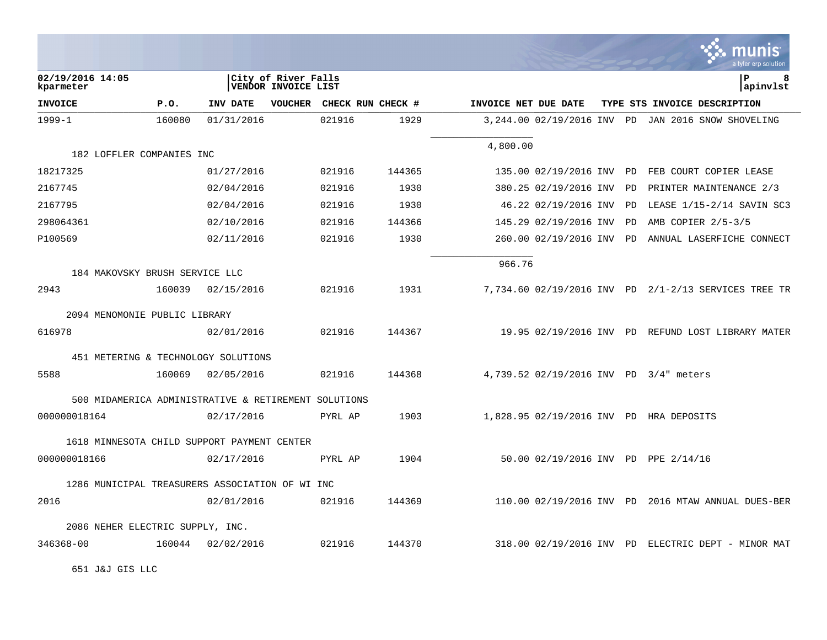|                                                      |        |            |                                            |                   |        |                      |                          |    | $\sim$ - Thunder<br>a tyler erp solution             |
|------------------------------------------------------|--------|------------|--------------------------------------------|-------------------|--------|----------------------|--------------------------|----|------------------------------------------------------|
| 02/19/2016 14:05<br>kparmeter                        |        |            | City of River Falls<br>VENDOR INVOICE LIST |                   |        |                      |                          |    | ∣P<br>8<br>apinvlst                                  |
| <b>INVOICE</b>                                       | P.0.   | INV DATE   | <b>VOUCHER</b>                             | CHECK RUN CHECK # |        | INVOICE NET DUE DATE |                          |    | TYPE STS INVOICE DESCRIPTION                         |
| $1999 - 1$                                           | 160080 | 01/31/2016 |                                            | 021916            | 1929   |                      |                          |    | 3,244.00 02/19/2016 INV PD JAN 2016 SNOW SHOVELING   |
|                                                      |        |            |                                            |                   |        | 4,800.00             |                          |    |                                                      |
| 182 LOFFLER COMPANIES INC                            |        |            |                                            |                   |        |                      |                          |    |                                                      |
| 18217325                                             |        | 01/27/2016 |                                            | 021916            | 144365 |                      |                          |    | 135.00 02/19/2016 INV PD FEB COURT COPIER LEASE      |
| 2167745                                              |        | 02/04/2016 |                                            | 021916            | 1930   |                      | 380.25 02/19/2016 INV    | PD | PRINTER MAINTENANCE 2/3                              |
| 2167795                                              |        | 02/04/2016 |                                            | 021916            | 1930   |                      | 46.22 02/19/2016 INV     | PD | LEASE 1/15-2/14 SAVIN SC3                            |
| 298064361                                            |        | 02/10/2016 |                                            | 021916            | 144366 |                      | 145.29 02/19/2016 INV    | PD | AMB COPIER 2/5-3/5                                   |
| P100569                                              |        | 02/11/2016 |                                            | 021916            | 1930   |                      | 260.00 02/19/2016 INV PD |    | ANNUAL LASERFICHE CONNECT                            |
| 184 MAKOVSKY BRUSH SERVICE LLC                       |        |            |                                            |                   |        | 966.76               |                          |    |                                                      |
| 2943                                                 | 160039 |            |                                            | 021916            | 1931   |                      |                          |    |                                                      |
|                                                      |        | 02/15/2016 |                                            |                   |        |                      |                          |    | 7,734.60 02/19/2016 INV PD 2/1-2/13 SERVICES TREE TR |
| 2094 MENOMONIE PUBLIC LIBRARY                        |        |            |                                            |                   |        |                      |                          |    |                                                      |
| 616978                                               |        | 02/01/2016 |                                            | 021916            | 144367 |                      |                          |    | 19.95 02/19/2016 INV PD REFUND LOST LIBRARY MATER    |
| 451 METERING & TECHNOLOGY SOLUTIONS                  |        |            |                                            |                   |        |                      |                          |    |                                                      |
| 5588                                                 | 160069 | 02/05/2016 |                                            | 021916            | 144368 |                      |                          |    | 4,739.52 02/19/2016 INV PD 3/4" meters               |
| 500 MIDAMERICA ADMINISTRATIVE & RETIREMENT SOLUTIONS |        |            |                                            |                   |        |                      |                          |    |                                                      |
| 000000018164                                         |        | 02/17/2016 |                                            | PYRL AP           | 1903   |                      |                          |    | 1,828.95 02/19/2016 INV PD HRA DEPOSITS              |
| 1618 MINNESOTA CHILD SUPPORT PAYMENT CENTER          |        |            |                                            |                   |        |                      |                          |    |                                                      |
| 000000018166                                         |        | 02/17/2016 |                                            | PYRL AP           | 1904   |                      |                          |    | 50.00 02/19/2016 INV PD PPE 2/14/16                  |
| 1286 MUNICIPAL TREASURERS ASSOCIATION OF WI INC      |        |            |                                            |                   |        |                      |                          |    |                                                      |
| 2016                                                 |        | 02/01/2016 |                                            | 021916            | 144369 |                      |                          |    | 110.00 02/19/2016 INV PD 2016 MTAW ANNUAL DUES-BER   |
| 2086 NEHER ELECTRIC SUPPLY, INC.                     |        |            |                                            |                   |        |                      |                          |    |                                                      |
| 346368-00                                            | 160044 | 02/02/2016 |                                            | 021916            | 144370 |                      |                          |    | 318.00 02/19/2016 INV PD ELECTRIC DEPT - MINOR MAT   |
|                                                      |        |            |                                            |                   |        |                      |                          |    |                                                      |

 $\ddot{\cdot}$  munic

651 J&J GIS LLC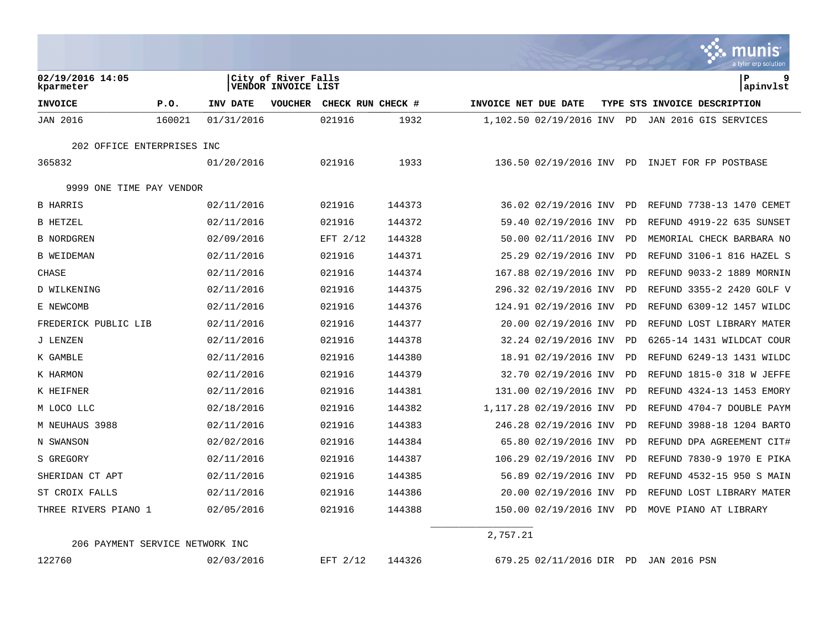|                               |        |            |                                                   |                   |        |                      |                          |           | a tyler erp solution         |
|-------------------------------|--------|------------|---------------------------------------------------|-------------------|--------|----------------------|--------------------------|-----------|------------------------------|
| 02/19/2016 14:05<br>kparmeter |        |            | City of River Falls<br><b>VENDOR INVOICE LIST</b> |                   |        |                      |                          |           | P<br>9<br> apinvlst          |
| <b>INVOICE</b>                | P.0.   | INV DATE   | <b>VOUCHER</b>                                    | CHECK RUN CHECK # |        | INVOICE NET DUE DATE |                          |           | TYPE STS INVOICE DESCRIPTION |
| <b>JAN 2016</b>               | 160021 | 01/31/2016 |                                                   | 021916            | 1932   |                      | 1,102.50 02/19/2016 INV  | PD        | JAN 2016 GIS SERVICES        |
| 202 OFFICE ENTERPRISES INC    |        |            |                                                   |                   |        |                      |                          |           |                              |
| 365832                        |        | 01/20/2016 |                                                   | 021916            | 1933   |                      | 136.50 02/19/2016 INV PD |           | INJET FOR FP POSTBASE        |
| 9999 ONE TIME PAY VENDOR      |        |            |                                                   |                   |        |                      |                          |           |                              |
| <b>B HARRIS</b>               |        | 02/11/2016 |                                                   | 021916            | 144373 |                      | 36.02 02/19/2016 INV     | PD        | REFUND 7738-13 1470 CEMET    |
| <b>B HETZEL</b>               |        | 02/11/2016 |                                                   | 021916            | 144372 |                      | 59.40 02/19/2016 INV     | PD        | REFUND 4919-22 635 SUNSET    |
| <b>B NORDGREN</b>             |        | 02/09/2016 |                                                   | EFT 2/12          | 144328 |                      | 50.00 02/11/2016 INV     | PD        | MEMORIAL CHECK BARBARA NO    |
| <b>B WEIDEMAN</b>             |        | 02/11/2016 |                                                   | 021916            | 144371 |                      | 25.29 02/19/2016 INV     | PD        | REFUND 3106-1 816 HAZEL S    |
| CHASE                         |        | 02/11/2016 |                                                   | 021916            | 144374 |                      | 167.88 02/19/2016 INV    | PD        | REFUND 9033-2 1889 MORNIN    |
| D WILKENING                   |        | 02/11/2016 |                                                   | 021916            | 144375 |                      | 296.32 02/19/2016 INV    | PD        | REFUND 3355-2 2420 GOLF V    |
| E NEWCOMB                     |        | 02/11/2016 |                                                   | 021916            | 144376 |                      | 124.91 02/19/2016 INV    | PD        | REFUND 6309-12 1457 WILDC    |
| FREDERICK PUBLIC LIB          |        | 02/11/2016 |                                                   | 021916            | 144377 |                      | 20.00 02/19/2016 INV     | PD        | REFUND LOST LIBRARY MATER    |
| J LENZEN                      |        | 02/11/2016 |                                                   | 021916            | 144378 |                      | 32.24 02/19/2016 INV     | PD        | 6265-14 1431 WILDCAT COUR    |
| K GAMBLE                      |        | 02/11/2016 |                                                   | 021916            | 144380 |                      | 18.91 02/19/2016 INV     | PD        | REFUND 6249-13 1431 WILDC    |
| K HARMON                      |        | 02/11/2016 |                                                   | 021916            | 144379 |                      | 32.70 02/19/2016 INV     | PD        | REFUND 1815-0 318 W JEFFE    |
| K HEIFNER                     |        | 02/11/2016 |                                                   | 021916            | 144381 |                      | 131.00 02/19/2016 INV    | PD        | REFUND 4324-13 1453 EMORY    |
| M LOCO LLC                    |        | 02/18/2016 |                                                   | 021916            | 144382 |                      | 1,117.28 02/19/2016 INV  | PD        | REFUND 4704-7 DOUBLE PAYM    |
| M NEUHAUS 3988                |        | 02/11/2016 |                                                   | 021916            | 144383 |                      | 246.28 02/19/2016 INV    | PD        | REFUND 3988-18 1204 BARTO    |
| N SWANSON                     |        | 02/02/2016 |                                                   | 021916            | 144384 |                      | 65.80 02/19/2016 INV     | <b>PD</b> | REFUND DPA AGREEMENT CIT#    |
| S GREGORY                     |        | 02/11/2016 |                                                   | 021916            | 144387 |                      | 106.29 02/19/2016 INV    | PD        | REFUND 7830-9 1970 E PIKA    |
| SHERIDAN CT APT               |        | 02/11/2016 |                                                   | 021916            | 144385 |                      | 56.89 02/19/2016 INV     | PD        | REFUND 4532-15 950 S MAIN    |
| ST CROIX FALLS                |        | 02/11/2016 |                                                   | 021916            | 144386 |                      | 20.00 02/19/2016 INV     | PD        | REFUND LOST LIBRARY MATER    |
| THREE RIVERS PIANO 1          |        | 02/05/2016 |                                                   | 021916            | 144388 |                      | 150.00 02/19/2016 INV    | PD        | MOVE PIANO AT LIBRARY        |
|                               |        |            |                                                   |                   |        |                      |                          |           |                              |

206 PAYMENT SERVICE NETWORK INC

2,757.21

122760 02/03/2016 EFT 2/12 144326 679.25 02/11/2016 DIR PD JAN 2016 PSN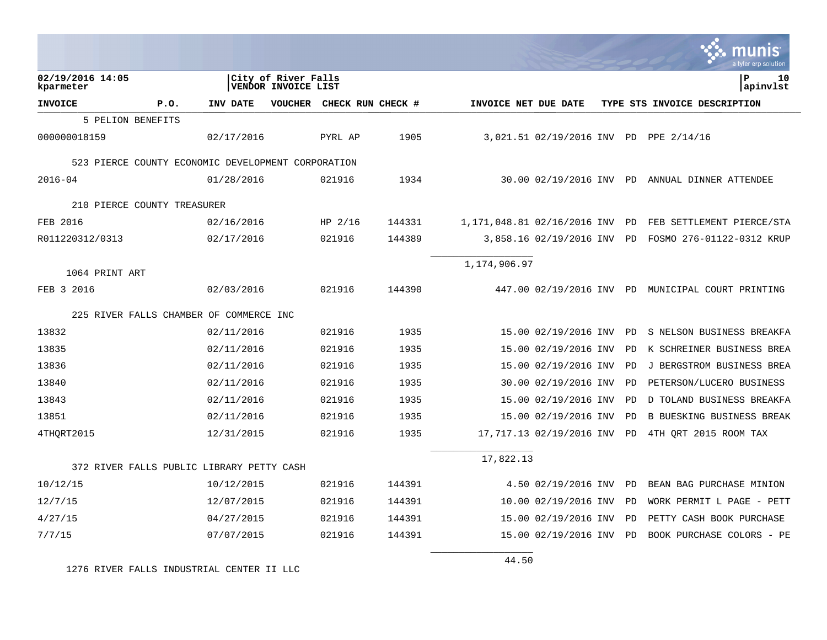|                                                    |                                            |                   |        |                                |                             |    | a tyler erp solutior                              |
|----------------------------------------------------|--------------------------------------------|-------------------|--------|--------------------------------|-----------------------------|----|---------------------------------------------------|
| 02/19/2016 14:05<br>kparmeter                      | City of River Falls<br>VENDOR INVOICE LIST |                   |        |                                |                             |    | ΙP<br>10<br> apinvlst                             |
| <b>INVOICE</b><br>P.0.                             | INV DATE<br>VOUCHER                        | CHECK RUN CHECK # |        | INVOICE NET DUE DATE           |                             |    | TYPE STS INVOICE DESCRIPTION                      |
| 5 PELION BENEFITS                                  |                                            |                   |        |                                |                             |    |                                                   |
| 000000018159                                       | 02/17/2016                                 | PYRL AP           | 1905   |                                |                             |    | 3,021.51 02/19/2016 INV PD PPE 2/14/16            |
| 523 PIERCE COUNTY ECONOMIC DEVELOPMENT CORPORATION |                                            |                   |        |                                |                             |    |                                                   |
| $2016 - 04$                                        | 01/28/2016                                 | 021916            | 1934   |                                |                             |    | 30.00 02/19/2016 INV PD ANNUAL DINNER ATTENDEE    |
| 210 PIERCE COUNTY TREASURER                        |                                            |                   |        |                                |                             |    |                                                   |
| FEB 2016                                           | 02/16/2016                                 | HP $2/16$         | 144331 | 1,171,048.81 02/16/2016 INV PD |                             |    | FEB SETTLEMENT PIERCE/STA                         |
| R011220312/0313                                    | 02/17/2016                                 | 021916            | 144389 |                                | 3,858.16 02/19/2016 INV PD  |    | FOSMO 276-01122-0312 KRUP                         |
| 1064 PRINT ART                                     |                                            |                   |        | 1,174,906.97                   |                             |    |                                                   |
| FEB 3 2016                                         | 02/03/2016                                 | 021916            | 144390 |                                |                             |    | 447.00 02/19/2016 INV PD MUNICIPAL COURT PRINTING |
| 225 RIVER FALLS CHAMBER OF COMMERCE INC            |                                            |                   |        |                                |                             |    |                                                   |
| 13832                                              | 02/11/2016                                 | 021916            | 1935   |                                | 15.00 02/19/2016 INV PD     |    | S NELSON BUSINESS BREAKFA                         |
| 13835                                              | 02/11/2016                                 | 021916            | 1935   |                                | 15.00 02/19/2016 INV        | PD | K SCHREINER BUSINESS BREA                         |
| 13836                                              | 02/11/2016                                 | 021916            | 1935   |                                | 15.00 02/19/2016 INV        | PD | J BERGSTROM BUSINESS BREA                         |
| 13840                                              | 02/11/2016                                 | 021916            | 1935   |                                | 30.00 02/19/2016 INV        | PD | PETERSON/LUCERO BUSINESS                          |
| 13843                                              | 02/11/2016                                 | 021916            | 1935   |                                | 15.00 02/19/2016 INV        | PD | D TOLAND BUSINESS BREAKFA                         |
| 13851                                              | 02/11/2016                                 | 021916            | 1935   |                                | 15.00 02/19/2016 INV        | PD | <b>B BUESKING BUSINESS BREAK</b>                  |
| 4THORT2015                                         | 12/31/2015                                 | 021916            | 1935   |                                | 17,717.13 02/19/2016 INV PD |    | 4TH QRT 2015 ROOM TAX                             |
| 372 RIVER FALLS PUBLIC LIBRARY PETTY CASH          |                                            |                   |        | 17,822.13                      |                             |    |                                                   |
| 10/12/15                                           | 10/12/2015                                 | 021916            | 144391 |                                | 4.50 02/19/2016 INV         | PD | BEAN BAG PURCHASE MINION                          |
| 12/7/15                                            | 12/07/2015                                 | 021916            | 144391 |                                | 10.00 02/19/2016 INV        | PD | WORK PERMIT L PAGE - PETT                         |
| 4/27/15                                            | 04/27/2015                                 | 021916            | 144391 |                                | 15.00 02/19/2016 INV        | PD | PETTY CASH BOOK PURCHASE                          |
| 7/7/15                                             | 07/07/2015                                 | 021916            | 144391 |                                | 15.00 02/19/2016 INV        | PD | BOOK PURCHASE COLORS - PE                         |
|                                                    |                                            |                   |        |                                |                             |    |                                                   |

1276 RIVER FALLS INDUSTRIAL CENTER II LLC

44.50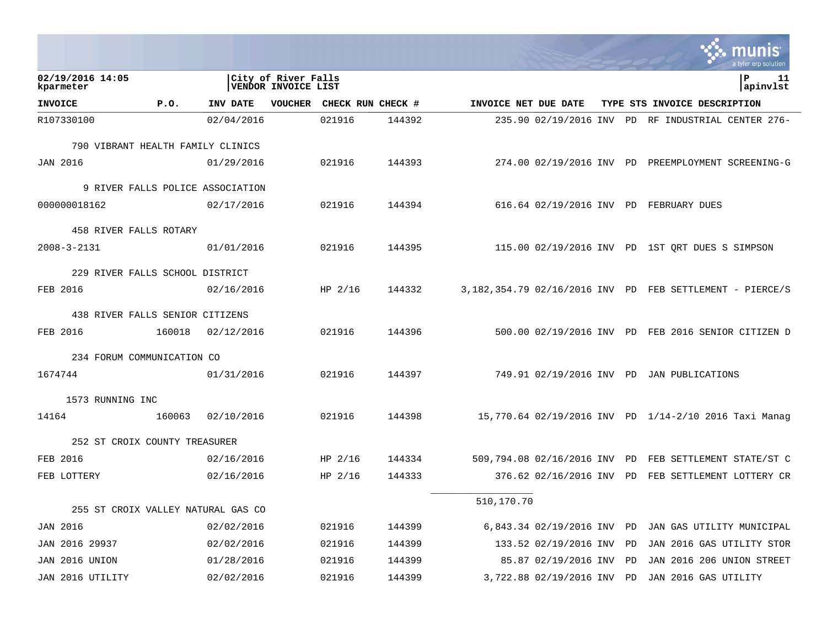|                                    |        |            |                                            |                           |        |                      |                            |           | <u>Imunis</u><br>a tyler erp solution                    |
|------------------------------------|--------|------------|--------------------------------------------|---------------------------|--------|----------------------|----------------------------|-----------|----------------------------------------------------------|
| 02/19/2016 14:05<br>kparmeter      |        |            | City of River Falls<br>VENDOR INVOICE LIST |                           |        |                      |                            |           | l P<br>11<br>apinvlst                                    |
| <b>INVOICE</b>                     | P.0.   | INV DATE   |                                            | VOUCHER CHECK RUN CHECK # |        | INVOICE NET DUE DATE |                            |           | TYPE STS INVOICE DESCRIPTION                             |
| R107330100                         |        | 02/04/2016 |                                            | 021916                    | 144392 |                      |                            |           | 235.90 02/19/2016 INV PD RF INDUSTRIAL CENTER 276-       |
| 790 VIBRANT HEALTH FAMILY CLINICS  |        |            |                                            |                           |        |                      |                            |           |                                                          |
| <b>JAN 2016</b>                    |        | 01/29/2016 |                                            | 021916                    | 144393 |                      |                            |           | 274.00 02/19/2016 INV PD PREEMPLOYMENT SCREENING-G       |
| 9 RIVER FALLS POLICE ASSOCIATION   |        |            |                                            |                           |        |                      |                            |           |                                                          |
| 000000018162                       |        | 02/17/2016 |                                            | 021916                    | 144394 |                      |                            |           | 616.64 02/19/2016 INV PD FEBRUARY DUES                   |
| 458 RIVER FALLS ROTARY             |        |            |                                            |                           |        |                      |                            |           |                                                          |
| $2008 - 3 - 2131$                  |        | 01/01/2016 |                                            | 021916                    | 144395 |                      |                            |           | 115.00 02/19/2016 INV PD 1ST QRT DUES S SIMPSON          |
| 229 RIVER FALLS SCHOOL DISTRICT    |        |            |                                            |                           |        |                      |                            |           |                                                          |
| FEB 2016                           |        | 02/16/2016 |                                            | HP $2/16$                 | 144332 |                      |                            |           | 3,182,354.79 02/16/2016 INV PD FEB SETTLEMENT - PIERCE/S |
| 438 RIVER FALLS SENIOR CITIZENS    |        |            |                                            |                           |        |                      |                            |           |                                                          |
| FEB 2016                           | 160018 | 02/12/2016 |                                            | 021916                    | 144396 |                      |                            |           | 500.00 02/19/2016 INV PD FEB 2016 SENIOR CITIZEN D       |
| 234 FORUM COMMUNICATION CO         |        |            |                                            |                           |        |                      |                            |           |                                                          |
| 1674744                            |        | 01/31/2016 |                                            | 021916                    | 144397 |                      |                            |           | 749.91 02/19/2016 INV PD JAN PUBLICATIONS                |
| 1573 RUNNING INC                   |        |            |                                            |                           |        |                      |                            |           |                                                          |
| 14164                              | 160063 | 02/10/2016 |                                            | 021916                    | 144398 |                      |                            |           | 15,770.64 02/19/2016 INV PD 1/14-2/10 2016 Taxi Manag    |
| 252 ST CROIX COUNTY TREASURER      |        |            |                                            |                           |        |                      |                            |           |                                                          |
| FEB 2016                           |        | 02/16/2016 |                                            | HP $2/16$                 | 144334 |                      |                            |           | 509,794.08 02/16/2016 INV PD FEB SETTLEMENT STATE/ST C   |
| FEB LOTTERY                        |        | 02/16/2016 |                                            | HP $2/16$                 | 144333 |                      |                            |           | 376.62 02/16/2016 INV PD FEB SETTLEMENT LOTTERY CR       |
|                                    |        |            |                                            |                           |        | 510,170.70           |                            |           |                                                          |
| 255 ST CROIX VALLEY NATURAL GAS CO |        |            |                                            |                           |        |                      |                            |           |                                                          |
| JAN 2016                           |        | 02/02/2016 |                                            | 021916                    | 144399 |                      | 6,843.34 02/19/2016 INV PD |           | JAN GAS UTILITY MUNICIPAL                                |
| JAN 2016 29937                     |        | 02/02/2016 |                                            | 021916                    | 144399 |                      | 133.52 02/19/2016 INV      | <b>PD</b> | JAN 2016 GAS UTILITY STOR                                |
| JAN 2016 UNION                     |        | 01/28/2016 |                                            | 021916                    | 144399 |                      | 85.87 02/19/2016 INV       | PD        | JAN 2016 206 UNION STREET                                |
| JAN 2016 UTILITY                   |        | 02/02/2016 |                                            | 021916                    | 144399 |                      | 3,722.88 02/19/2016 INV    | PD        | JAN 2016 GAS UTILITY                                     |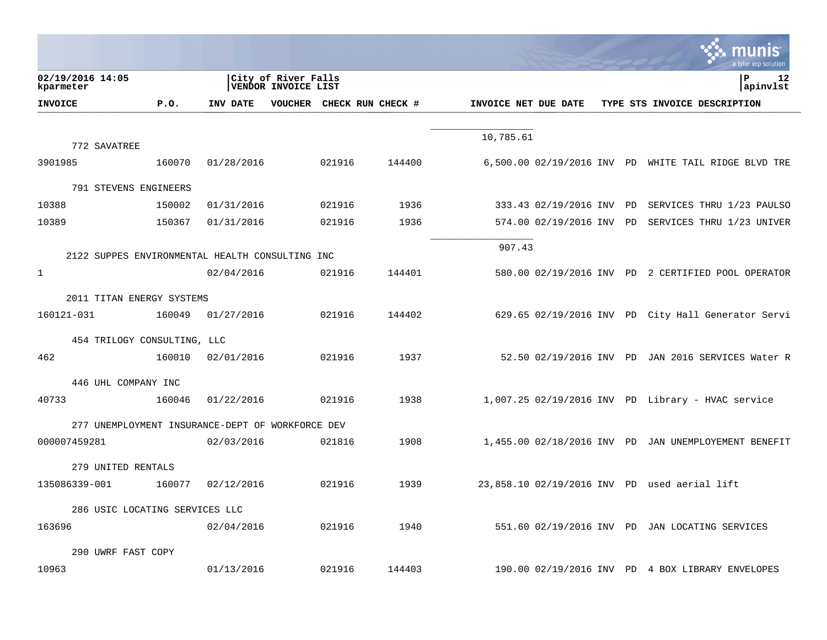|                                                  |                                                   |                           |        |                      |                          |  | a tyler erp solution                                 |
|--------------------------------------------------|---------------------------------------------------|---------------------------|--------|----------------------|--------------------------|--|------------------------------------------------------|
| 02/19/2016 14:05<br>kparmeter                    | City of River Falls<br><b>VENDOR INVOICE LIST</b> |                           |        |                      |                          |  | ΙP<br>12<br>apinvlst                                 |
| <b>INVOICE</b><br>P.O.                           | INV DATE                                          | VOUCHER CHECK RUN CHECK # |        | INVOICE NET DUE DATE |                          |  | TYPE STS INVOICE DESCRIPTION                         |
|                                                  |                                                   |                           |        |                      |                          |  |                                                      |
| 772 SAVATREE                                     |                                                   |                           |        | 10,785.61            |                          |  |                                                      |
| 3901985<br>160070                                | 01/28/2016                                        | 021916                    | 144400 |                      |                          |  | 6,500.00 02/19/2016 INV PD WHITE TAIL RIDGE BLVD TRE |
| 791 STEVENS ENGINEERS                            |                                                   |                           |        |                      |                          |  |                                                      |
| 10388<br>150002                                  | 01/31/2016                                        | 021916                    | 1936   |                      | 333.43 02/19/2016 INV PD |  | SERVICES THRU 1/23 PAULSO                            |
| 10389<br>150367                                  | 01/31/2016                                        | 021916                    | 1936   |                      | 574.00 02/19/2016 INV PD |  | SERVICES THRU 1/23 UNIVER                            |
|                                                  |                                                   |                           |        | 907.43               |                          |  |                                                      |
| 2122 SUPPES ENVIRONMENTAL HEALTH CONSULTING INC  |                                                   |                           |        |                      |                          |  |                                                      |
| $\mathbf{1}$                                     | 02/04/2016                                        | 021916                    | 144401 |                      |                          |  | 580.00 02/19/2016 INV PD 2 CERTIFIED POOL OPERATOR   |
| 2011 TITAN ENERGY SYSTEMS                        |                                                   |                           |        |                      |                          |  |                                                      |
| 160121-031<br>160049                             | 01/27/2016                                        | 021916                    | 144402 |                      |                          |  | 629.65 02/19/2016 INV PD City Hall Generator Servi   |
| 454 TRILOGY CONSULTING, LLC                      |                                                   |                           |        |                      |                          |  |                                                      |
| 462<br>160010                                    | 02/01/2016                                        | 021916                    | 1937   |                      |                          |  | 52.50 02/19/2016 INV PD JAN 2016 SERVICES Water R    |
| 446 UHL COMPANY INC                              |                                                   |                           |        |                      |                          |  |                                                      |
| 40733<br>160046                                  | 01/22/2016                                        | 021916                    | 1938   |                      |                          |  | 1,007.25 02/19/2016 INV PD Library - HVAC service    |
|                                                  |                                                   |                           |        |                      |                          |  |                                                      |
| 277 UNEMPLOYMENT INSURANCE-DEPT OF WORKFORCE DEV |                                                   |                           |        |                      |                          |  |                                                      |
| 000007459281                                     | 02/03/2016                                        | 021816                    | 1908   |                      |                          |  | 1,455.00 02/18/2016 INV PD JAN UNEMPLOYEMENT BENEFIT |
| 279 UNITED RENTALS                               |                                                   |                           |        |                      |                          |  |                                                      |
| 135086339-001<br>160077                          | 02/12/2016                                        | 021916                    | 1939   |                      |                          |  | 23,858.10 02/19/2016 INV PD used aerial lift         |
| 286 USIC LOCATING SERVICES LLC                   |                                                   |                           |        |                      |                          |  |                                                      |
| 163696                                           | 02/04/2016                                        | 021916                    | 1940   |                      |                          |  | 551.60 02/19/2016 INV PD JAN LOCATING SERVICES       |
| 290 UWRF FAST COPY                               |                                                   |                           |        |                      |                          |  |                                                      |
| 10963                                            | 01/13/2016                                        | 021916                    | 144403 |                      |                          |  | 190.00 02/19/2016 INV PD 4 BOX LIBRARY ENVELOPES     |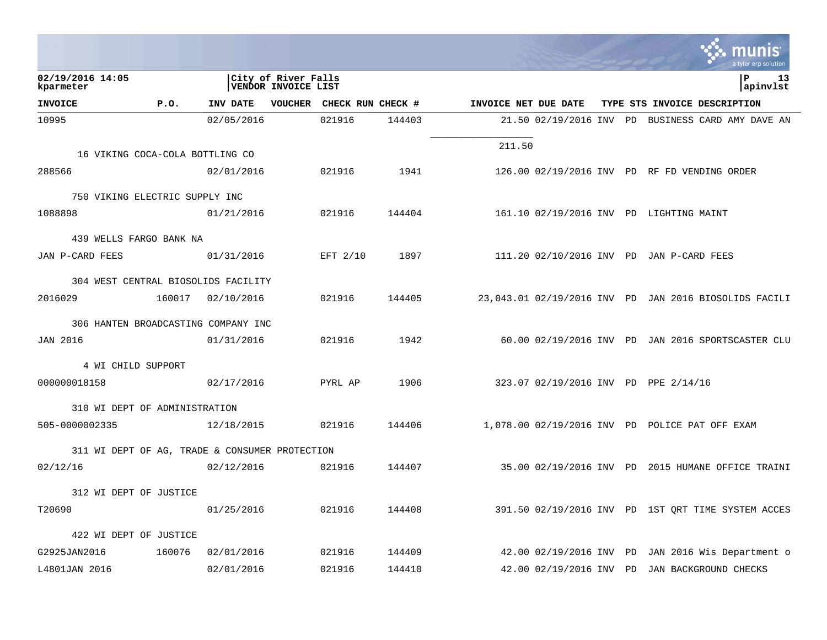|                                                                                           |        |                 |  |                           |        |                      |                         |  |  | a tyler erp solution                                  |
|-------------------------------------------------------------------------------------------|--------|-----------------|--|---------------------------|--------|----------------------|-------------------------|--|--|-------------------------------------------------------|
| 02/19/2016 14:05<br>City of River Falls<br>l P<br><b>VENDOR INVOICE LIST</b><br>kparmeter |        |                 |  |                           |        |                      |                         |  |  | 13<br>apinvlst                                        |
| <b>INVOICE</b>                                                                            | P.0.   | <b>INV DATE</b> |  | VOUCHER CHECK RUN CHECK # |        | INVOICE NET DUE DATE |                         |  |  | TYPE STS INVOICE DESCRIPTION                          |
| 10995                                                                                     |        | 02/05/2016      |  | 021916                    | 144403 |                      |                         |  |  | 21.50 02/19/2016 INV PD BUSINESS CARD AMY DAVE AN     |
|                                                                                           |        |                 |  |                           |        | 211.50               |                         |  |  |                                                       |
| 16 VIKING COCA-COLA BOTTLING CO                                                           |        |                 |  |                           |        |                      |                         |  |  |                                                       |
| 288566                                                                                    |        | 02/01/2016      |  | 021916                    | 1941   |                      |                         |  |  | 126.00 02/19/2016 INV PD RF FD VENDING ORDER          |
| 750 VIKING ELECTRIC SUPPLY INC                                                            |        |                 |  |                           |        |                      |                         |  |  |                                                       |
| 1088898                                                                                   |        | 01/21/2016      |  | 021916                    | 144404 |                      |                         |  |  | 161.10 02/19/2016 INV PD LIGHTING MAINT               |
|                                                                                           |        |                 |  |                           |        |                      |                         |  |  |                                                       |
| 439 WELLS FARGO BANK NA                                                                   |        |                 |  |                           |        |                      |                         |  |  |                                                       |
| JAN P-CARD FEES                                                                           |        | 01/31/2016      |  | EFT 2/10                  | 1897   |                      |                         |  |  | 111.20 02/10/2016 INV PD JAN P-CARD FEES              |
| 304 WEST CENTRAL BIOSOLIDS FACILITY                                                       |        |                 |  |                           |        |                      |                         |  |  |                                                       |
| 2016029                                                                                   | 160017 | 02/10/2016      |  | 021916                    | 144405 |                      |                         |  |  | 23,043.01 02/19/2016 INV PD JAN 2016 BIOSOLIDS FACILI |
| 306 HANTEN BROADCASTING COMPANY INC                                                       |        |                 |  |                           |        |                      |                         |  |  |                                                       |
| <b>JAN 2016</b>                                                                           |        | 01/31/2016      |  | 021916                    | 1942   |                      |                         |  |  | 60.00 02/19/2016 INV PD JAN 2016 SPORTSCASTER CLU     |
|                                                                                           |        |                 |  |                           |        |                      |                         |  |  |                                                       |
| 4 WI CHILD SUPPORT                                                                        |        |                 |  |                           |        |                      |                         |  |  |                                                       |
| 000000018158                                                                              |        | 02/17/2016      |  | PYRL AP                   | 1906   |                      |                         |  |  | 323.07 02/19/2016 INV PD PPE 2/14/16                  |
| 310 WI DEPT OF ADMINISTRATION                                                             |        |                 |  |                           |        |                      |                         |  |  |                                                       |
| 505-0000002335                                                                            |        | 12/18/2015      |  | 021916                    | 144406 |                      |                         |  |  | 1,078.00 02/19/2016 INV PD POLICE PAT OFF EXAM        |
| 311 WI DEPT OF AG, TRADE & CONSUMER PROTECTION                                            |        |                 |  |                           |        |                      |                         |  |  |                                                       |
| 02/12/16                                                                                  |        | 02/12/2016      |  | 021916                    | 144407 |                      |                         |  |  | 35.00 02/19/2016 INV PD 2015 HUMANE OFFICE TRAINI     |
|                                                                                           |        |                 |  |                           |        |                      |                         |  |  |                                                       |
| 312 WI DEPT OF JUSTICE                                                                    |        |                 |  |                           |        |                      |                         |  |  |                                                       |
| T20690                                                                                    |        | 01/25/2016      |  | 021916                    | 144408 |                      |                         |  |  | 391.50 02/19/2016 INV PD 1ST QRT TIME SYSTEM ACCES    |
| 422 WI DEPT OF JUSTICE                                                                    |        |                 |  |                           |        |                      |                         |  |  |                                                       |
| G2925JAN2016                                                                              | 160076 | 02/01/2016      |  | 021916                    | 144409 |                      | 42.00 02/19/2016 INV PD |  |  | JAN 2016 Wis Department o                             |
| L4801JAN 2016                                                                             |        | 02/01/2016      |  | 021916                    | 144410 |                      | 42.00 02/19/2016 INV PD |  |  | JAN BACKGROUND CHECKS                                 |